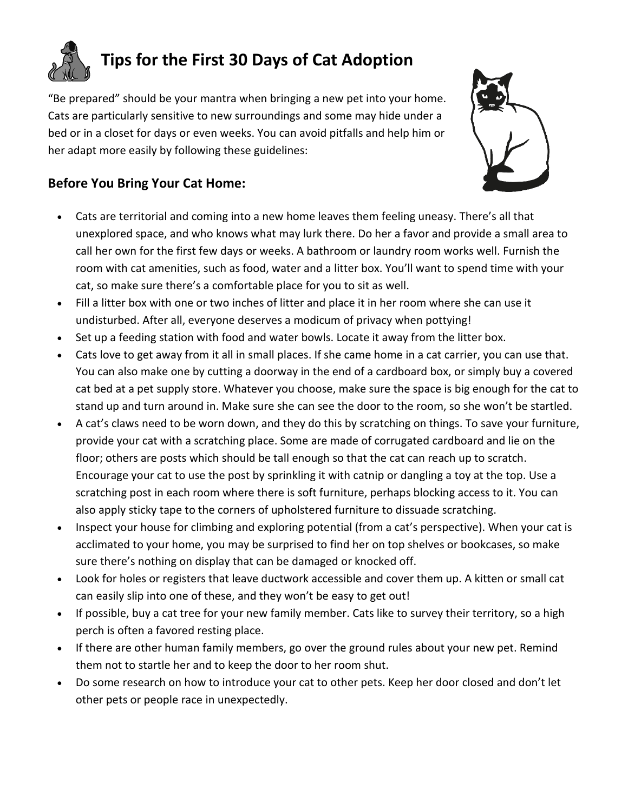

"Be prepared" should be your mantra when bringing a new pet into your home. Cats are particularly sensitive to new surroundings and some may hide under a bed or in a closet for days or even weeks. You can avoid pitfalls and help him or her adapt more easily by following these guidelines:



## **Before You Bring Your Cat Home:**

- Cats are territorial and coming into a new home leaves them feeling uneasy. There's all that unexplored space, and who knows what may lurk there. Do her a favor and provide a small area to call her own for the first few days or weeks. A bathroom or laundry room works well. Furnish the room with cat amenities, such as food, water and a litter box. You'll want to spend time with your cat, so make sure there's a comfortable place for you to sit as well.
- Fill a litter box with one or two inches of litter and place it in her room where she can use it undisturbed. After all, everyone deserves a modicum of privacy when pottying!
- Set up a feeding station with food and water bowls. Locate it away from the litter box.
- Cats love to get away from it all in small places. If she came home in a cat carrier, you can use that. You can also make one by cutting a doorway in the end of a cardboard box, or simply buy a covered cat bed at a pet supply store. Whatever you choose, make sure the space is big enough for the cat to stand up and turn around in. Make sure she can see the door to the room, so she won't be startled.
- A cat's claws need to be worn down, and they do this by scratching on things. To save your furniture, provide your cat with a scratching place. Some are made of corrugated cardboard and lie on the floor; others are posts which should be tall enough so that the cat can reach up to scratch. Encourage your cat to use the post by sprinkling it with catnip or dangling a toy at the top. Use a scratching post in each room where there is soft furniture, perhaps blocking access to it. You can also apply sticky tape to the corners of upholstered furniture to dissuade scratching.
- Inspect your house for climbing and exploring potential (from a cat's perspective). When your cat is acclimated to your home, you may be surprised to find her on top shelves or bookcases, so make sure there's nothing on display that can be damaged or knocked off.
- Look for holes or registers that leave ductwork accessible and cover them up. A kitten or small cat can easily slip into one of these, and they won't be easy to get out!
- If possible, buy a cat tree for your new family member. Cats like to survey their territory, so a high perch is often a favored resting place.
- If there are other human family members, go over the ground rules about your new pet. Remind them not to startle her and to keep the door to her room shut.
- Do some research on how to introduce your cat to other pets. Keep her door closed and don't let other pets or people race in unexpectedly.